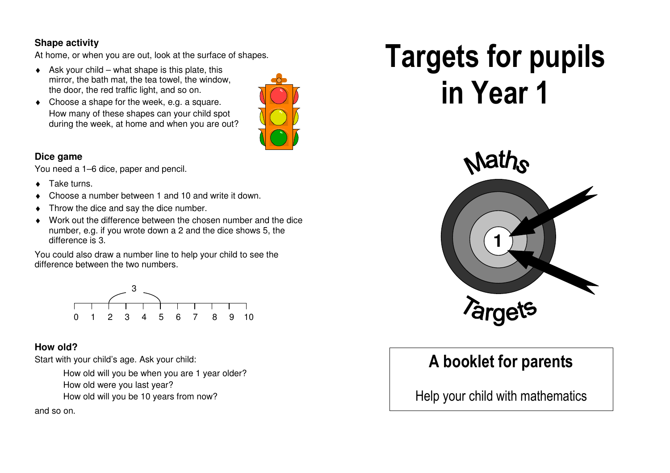### **Shape activity**

At home, or when you are out, look at the surface of shapes.

- $\triangle$  Ask your child what shape is this plate, this mirror, the bath mat, the tea towel, the window, the door, the red traffic light, and so on.
- Choose a shape for the week, e.g. a square. How many of these shapes can your child spot during the week, at home and when you are out?



#### **Dice game**

You need a 1–6 dice, paper and pencil.

- ♦ Take turns.
- Choose a number between 1 and 10 and write it down.
- Throw the dice and say the dice number.
- ♦ Work out the difference between the chosen number and the dice number, e.g. if you wrote down a 2 and the dice shows 5, the difference is 3.

You could also draw a number line to help your child to see the difference between the two numbers.



## **How old?**

Start with your child's age. Ask your child:

 How old will you be when you are 1 year older? How old were you last year?

How old will you be 10 years from now?

and so on.

# Targets for pupils in Year 1



# A booklet for parents

Help your child with mathematics